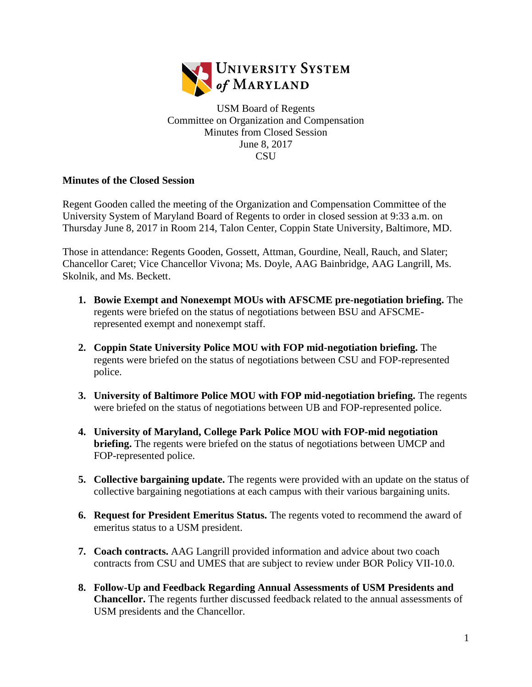

USM Board of Regents Committee on Organization and Compensation Minutes from Closed Session June 8, 2017 **CSU** 

## **Minutes of the Closed Session**

Regent Gooden called the meeting of the Organization and Compensation Committee of the University System of Maryland Board of Regents to order in closed session at 9:33 a.m. on Thursday June 8, 2017 in Room 214, Talon Center, Coppin State University, Baltimore, MD.

Those in attendance: Regents Gooden, Gossett, Attman, Gourdine, Neall, Rauch, and Slater; Chancellor Caret; Vice Chancellor Vivona; Ms. Doyle, AAG Bainbridge, AAG Langrill, Ms. Skolnik, and Ms. Beckett.

- **1. Bowie Exempt and Nonexempt MOUs with AFSCME pre-negotiation briefing.** The regents were briefed on the status of negotiations between BSU and AFSCMErepresented exempt and nonexempt staff.
- **2. Coppin State University Police MOU with FOP mid-negotiation briefing.** The regents were briefed on the status of negotiations between CSU and FOP-represented police.
- **3. University of Baltimore Police MOU with FOP mid-negotiation briefing.** The regents were briefed on the status of negotiations between UB and FOP-represented police.
- **4. University of Maryland, College Park Police MOU with FOP-mid negotiation briefing.** The regents were briefed on the status of negotiations between UMCP and FOP-represented police.
- **5. Collective bargaining update.** The regents were provided with an update on the status of collective bargaining negotiations at each campus with their various bargaining units.
- **6. Request for President Emeritus Status.** The regents voted to recommend the award of emeritus status to a USM president.
- **7. Coach contracts.** AAG Langrill provided information and advice about two coach contracts from CSU and UMES that are subject to review under BOR Policy VII-10.0.
- **8. Follow-Up and Feedback Regarding Annual Assessments of USM Presidents and Chancellor.** The regents further discussed feedback related to the annual assessments of USM presidents and the Chancellor.